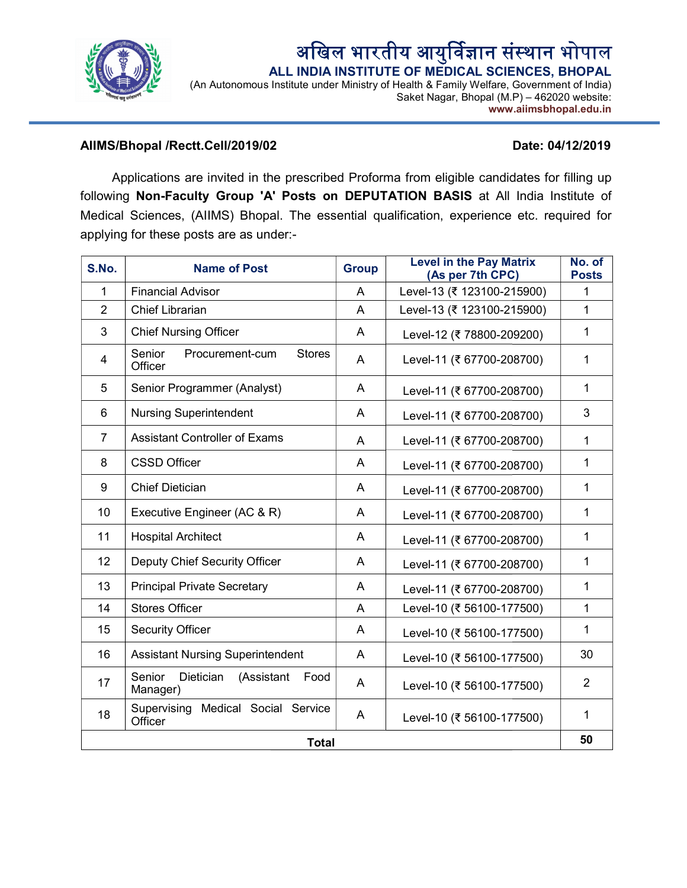

# अखिल भारतीय आयुर्विज्ञान संस्थान भोपाल

ALL INDIA INSTITUTE OF MEDICAL SCIENCES, BHOPAL

(An Autonomous Institute under Ministry of Health & Family Welfare, Government of India)<br>Saket Nagar, Bhopal (M.P) – 462020 website: www.aiimsbhopal.edu.in

#### AIIMS/Bhopal /Rectt.Cell/2019/02 2 and 2 and 2 and 2 and 2 and 2 and 2 and 2 and 2 and 2 and 2 and 2 and 2 and 2 and 2 and 2 and 2 and 2 and 2

### Date: 04/12/2019

Applications are invited in the prescribed Proforma from eligible candidates for filling up following Non-Faculty Group 'A' Posts on DEPUTATION BASIS at All India Institute of Medical Sciences, (AIIMS) Bhopal. The essential qualification, experience etc. required for<br>applying for these posts are as under:applying for these posts are as under: Applications are invited in the prescribed Proforma from eligible candidates for filling<br>following **Non-Faculty Group 'A' Posts on DEPUTATION BASIS** at All India Institute<br>Medical Sciences, (AIIMS) Bhopal. The essential qu

| S.No.          | <b>Name of Post</b>                                   | <b>Group</b> | <b>Level in the Pay Matrix</b><br>(As per 7th CPC) | No. of<br><b>Posts</b> |
|----------------|-------------------------------------------------------|--------------|----------------------------------------------------|------------------------|
| 1              | <b>Financial Advisor</b>                              | A            | Level-13 (₹ 123100-215900)                         | 1                      |
| $\overline{2}$ | Chief Librarian                                       | A            | Level-13 (₹ 123100-215900)                         | $\mathbf{1}$           |
| 3              | <b>Chief Nursing Officer</b>                          | A            | Level-12 (₹ 78800-209200)                          | 1                      |
| 4              | Senior<br><b>Stores</b><br>Procurement-cum<br>Officer | A            | Level-11 (₹ 67700-208700)                          | 1                      |
| 5              | Senior Programmer (Analyst)                           | A            | Level-11 (₹ 67700-208700)                          | $\mathbf{1}$           |
| 6              | <b>Nursing Superintendent</b>                         | A            | Level-11 (₹ 67700-208700)                          | 3                      |
| $\overline{7}$ | <b>Assistant Controller of Exams</b>                  | A            | Level-11 (₹ 67700-208700)                          | 1                      |
| 8              | <b>CSSD Officer</b>                                   | A            | Level-11 (₹ 67700-208700)                          | $\mathbf 1$            |
| 9              | <b>Chief Dietician</b>                                | A            | Level-11 (₹ 67700-208700)                          | $\mathbf 1$            |
| 10             | Executive Engineer (AC & R)                           | A            | Level-11 (₹ 67700-208700)                          | $\mathbf 1$            |
| 11             | <b>Hospital Architect</b>                             | A            | Level-11 (₹ 67700-208700)                          | 1                      |
| 12             | Deputy Chief Security Officer                         | A            | Level-11 (₹ 67700-208700)                          | $\mathbf 1$            |
| 13             | <b>Principal Private Secretary</b>                    | A            | Level-11 (₹ 67700-208700)                          | $\mathbf{1}$           |
| 14             | <b>Stores Officer</b>                                 | A            | Level-10 (₹ 56100-177500)                          | $\mathbf 1$            |
| 15             | <b>Security Officer</b>                               | A            | Level-10 (₹ 56100-177500)                          | 1                      |
| 16             | <b>Assistant Nursing Superintendent</b>               | A            | Level-10 (₹ 56100-177500)                          | 30                     |
| 17             | Senior<br>Dietician<br>(Assistant<br>Food<br>Manager) | A            | Level-10 (₹ 56100-177500)                          | $\overline{2}$         |
| 18             | Supervising<br>Medical Social Service<br>Officer      | A            | Level-10 (₹ 56100-177500)                          | 1                      |
| <b>Total</b>   |                                                       |              |                                                    | 50                     |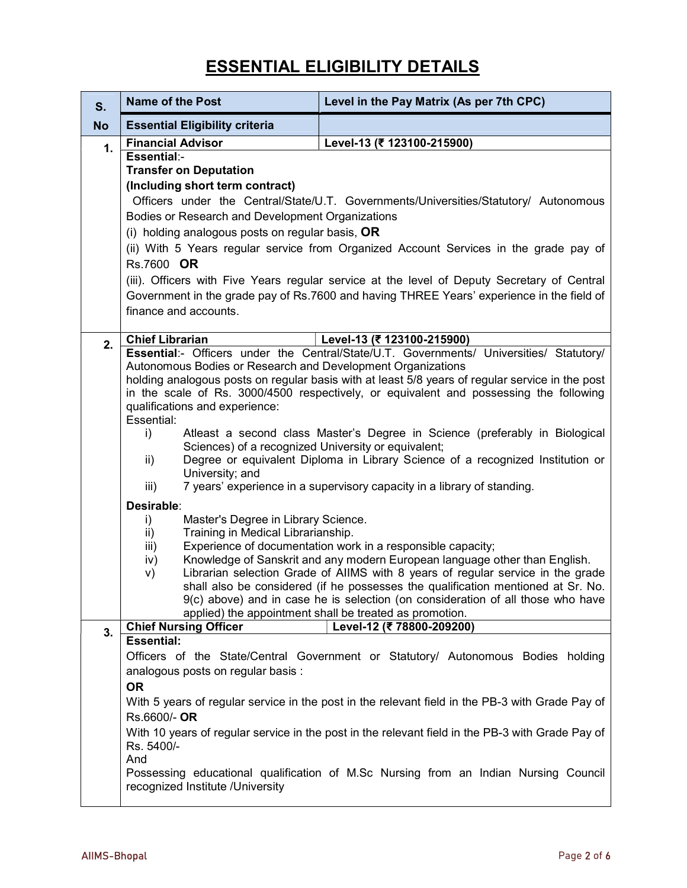## ESSENTIAL ELIGIBILITY DETAILS

| S.        | <b>Name of the Post</b>                                                                                                                                                                  | Level in the Pay Matrix (As per 7th CPC)                                                                              |  |  |  |  |  |
|-----------|------------------------------------------------------------------------------------------------------------------------------------------------------------------------------------------|-----------------------------------------------------------------------------------------------------------------------|--|--|--|--|--|
| <b>No</b> | <b>Essential Eligibility criteria</b>                                                                                                                                                    |                                                                                                                       |  |  |  |  |  |
| 1.        | <b>Financial Advisor</b>                                                                                                                                                                 | Level-13 (₹ 123100-215900)                                                                                            |  |  |  |  |  |
|           | Essential:-<br><b>Transfer on Deputation</b>                                                                                                                                             |                                                                                                                       |  |  |  |  |  |
|           | (Including short term contract)                                                                                                                                                          |                                                                                                                       |  |  |  |  |  |
|           | Officers under the Central/State/U.T. Governments/Universities/Statutory/ Autonomous                                                                                                     |                                                                                                                       |  |  |  |  |  |
|           | Bodies or Research and Development Organizations                                                                                                                                         |                                                                                                                       |  |  |  |  |  |
|           | (i) holding analogous posts on regular basis, $OR$                                                                                                                                       |                                                                                                                       |  |  |  |  |  |
|           | (ii) With 5 Years regular service from Organized Account Services in the grade pay of                                                                                                    |                                                                                                                       |  |  |  |  |  |
|           | Rs.7600 OR                                                                                                                                                                               |                                                                                                                       |  |  |  |  |  |
|           | (iii). Officers with Five Years regular service at the level of Deputy Secretary of Central<br>Government in the grade pay of Rs.7600 and having THREE Years' experience in the field of |                                                                                                                       |  |  |  |  |  |
|           | finance and accounts.                                                                                                                                                                    |                                                                                                                       |  |  |  |  |  |
|           |                                                                                                                                                                                          |                                                                                                                       |  |  |  |  |  |
| 2.        | <b>Chief Librarian</b>                                                                                                                                                                   | Level-13 (₹ 123100-215900)<br>Essential:- Officers under the Central/State/U.T. Governments/ Universities/ Statutory/ |  |  |  |  |  |
|           | Autonomous Bodies or Research and Development Organizations                                                                                                                              |                                                                                                                       |  |  |  |  |  |
|           |                                                                                                                                                                                          | holding analogous posts on regular basis with at least 5/8 years of regular service in the post                       |  |  |  |  |  |
|           | in the scale of Rs. 3000/4500 respectively, or equivalent and possessing the following                                                                                                   |                                                                                                                       |  |  |  |  |  |
|           | qualifications and experience:<br>Essential:                                                                                                                                             |                                                                                                                       |  |  |  |  |  |
|           | Atleast a second class Master's Degree in Science (preferably in Biological<br>i)                                                                                                        |                                                                                                                       |  |  |  |  |  |
|           | Sciences) of a recognized University or equivalent;                                                                                                                                      |                                                                                                                       |  |  |  |  |  |
|           | Degree or equivalent Diploma in Library Science of a recognized Institution or<br>ii)<br>University; and                                                                                 |                                                                                                                       |  |  |  |  |  |
|           | iii)<br>7 years' experience in a supervisory capacity in a library of standing.                                                                                                          |                                                                                                                       |  |  |  |  |  |
|           | Desirable:                                                                                                                                                                               |                                                                                                                       |  |  |  |  |  |
|           | Master's Degree in Library Science.<br>i)<br>Training in Medical Librarianship.<br>ii)                                                                                                   |                                                                                                                       |  |  |  |  |  |
|           | Experience of documentation work in a responsible capacity;<br>iii)                                                                                                                      |                                                                                                                       |  |  |  |  |  |
|           | Knowledge of Sanskrit and any modern European language other than English.<br>iv)                                                                                                        |                                                                                                                       |  |  |  |  |  |
|           | Librarian selection Grade of AIIMS with 8 years of regular service in the grade<br>V)<br>shall also be considered (if he possesses the qualification mentioned at Sr. No.                |                                                                                                                       |  |  |  |  |  |
|           | $9(c)$ above) and in case he is selection (on consideration of all those who have                                                                                                        |                                                                                                                       |  |  |  |  |  |
|           |                                                                                                                                                                                          | applied) the appointment shall be treated as promotion.                                                               |  |  |  |  |  |
| 3.        | <b>Chief Nursing Officer</b><br><b>Essential:</b>                                                                                                                                        | Level-12 (₹ 78800-209200)                                                                                             |  |  |  |  |  |
|           |                                                                                                                                                                                          | Officers of the State/Central Government or Statutory/ Autonomous Bodies holding                                      |  |  |  |  |  |
|           | analogous posts on regular basis :                                                                                                                                                       |                                                                                                                       |  |  |  |  |  |
|           | <b>OR</b>                                                                                                                                                                                |                                                                                                                       |  |  |  |  |  |
|           |                                                                                                                                                                                          | With 5 years of regular service in the post in the relevant field in the PB-3 with Grade Pay of                       |  |  |  |  |  |
|           | Rs.6600/- OR                                                                                                                                                                             |                                                                                                                       |  |  |  |  |  |
|           | With 10 years of regular service in the post in the relevant field in the PB-3 with Grade Pay of<br>Rs. 5400/-                                                                           |                                                                                                                       |  |  |  |  |  |
|           | And                                                                                                                                                                                      |                                                                                                                       |  |  |  |  |  |
|           | Possessing educational qualification of M.Sc Nursing from an Indian Nursing Council                                                                                                      |                                                                                                                       |  |  |  |  |  |
|           | recognized Institute /University                                                                                                                                                         |                                                                                                                       |  |  |  |  |  |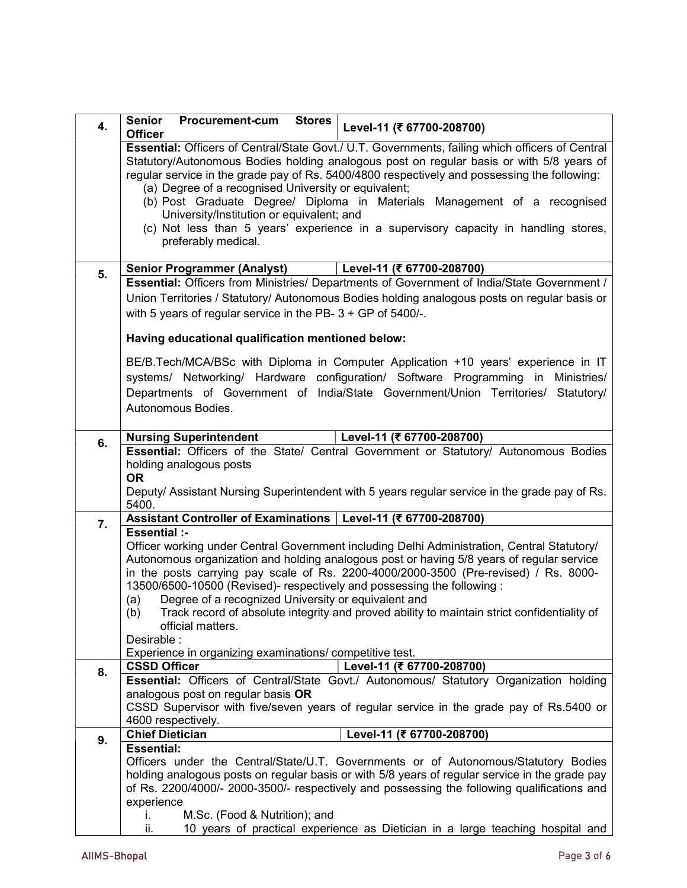| 4. | <b>Senior</b><br><b>Procurement-cum</b><br><b>Stores</b><br>Level-11 (₹ 67700-208700)<br><b>Officer</b>                                                                                                                                                                                                                                                                                                                                                                                                                                                                                     |  |  |  |  |  |  |
|----|---------------------------------------------------------------------------------------------------------------------------------------------------------------------------------------------------------------------------------------------------------------------------------------------------------------------------------------------------------------------------------------------------------------------------------------------------------------------------------------------------------------------------------------------------------------------------------------------|--|--|--|--|--|--|
|    | Essential: Officers of Central/State Govt./ U.T. Governments, failing which officers of Central<br>Statutory/Autonomous Bodies holding analogous post on regular basis or with 5/8 years of<br>regular service in the grade pay of Rs. 5400/4800 respectively and possessing the following:<br>(a) Degree of a recognised University or equivalent;<br>(b) Post Graduate Degree/ Diploma in Materials Management of a recognised<br>University/Institution or equivalent; and<br>(c) Not less than 5 years' experience in a supervisory capacity in handling stores,<br>preferably medical. |  |  |  |  |  |  |
| 5. | Level-11 (₹ 67700-208700)<br><b>Senior Programmer (Analyst)</b>                                                                                                                                                                                                                                                                                                                                                                                                                                                                                                                             |  |  |  |  |  |  |
|    | Essential: Officers from Ministries/ Departments of Government of India/State Government /<br>Union Territories / Statutory/ Autonomous Bodies holding analogous posts on regular basis or<br>with 5 years of regular service in the PB- $3 + GP$ of 5400/-.                                                                                                                                                                                                                                                                                                                                |  |  |  |  |  |  |
|    | Having educational qualification mentioned below:                                                                                                                                                                                                                                                                                                                                                                                                                                                                                                                                           |  |  |  |  |  |  |
|    | BE/B.Tech/MCA/BSc with Diploma in Computer Application +10 years' experience in IT<br>systems/ Networking/ Hardware configuration/ Software Programming in Ministries/<br>Departments of Government of India/State Government/Union Territories/ Statutory/<br>Autonomous Bodies.                                                                                                                                                                                                                                                                                                           |  |  |  |  |  |  |
| 6. | <b>Nursing Superintendent</b><br>Level-11 (₹ 67700-208700)                                                                                                                                                                                                                                                                                                                                                                                                                                                                                                                                  |  |  |  |  |  |  |
|    | Essential: Officers of the State/ Central Government or Statutory/ Autonomous Bodies<br>holding analogous posts<br><b>OR</b><br>Deputy/ Assistant Nursing Superintendent with 5 years regular service in the grade pay of Rs.<br>5400.                                                                                                                                                                                                                                                                                                                                                      |  |  |  |  |  |  |
| 7. | Assistant Controller of Examinations   Level-11 (₹ 67700-208700)                                                                                                                                                                                                                                                                                                                                                                                                                                                                                                                            |  |  |  |  |  |  |
|    | Essential :-<br>Officer working under Central Government including Delhi Administration, Central Statutory/<br>Autonomous organization and holding analogous post or having 5/8 years of regular service<br>in the posts carrying pay scale of Rs. 2200-4000/2000-3500 (Pre-revised) / Rs. 8000-<br>13500/6500-10500 (Revised)- respectively and possessing the following:<br>Degree of a recognized University or equivalent and<br>(a)<br>Track record of absolute integrity and proved ability to maintain strict confidentiality of<br>(b)<br>official matters.<br>Desirable:           |  |  |  |  |  |  |
|    | Experience in organizing examinations/ competitive test.                                                                                                                                                                                                                                                                                                                                                                                                                                                                                                                                    |  |  |  |  |  |  |
| 8. | <b>CSSD Officer</b><br>Level-11 (₹ 67700-208700)<br>Essential: Officers of Central/State Govt./ Autonomous/ Statutory Organization holding<br>analogous post on regular basis OR<br>CSSD Supervisor with five/seven years of regular service in the grade pay of Rs.5400 or                                                                                                                                                                                                                                                                                                                 |  |  |  |  |  |  |
|    | 4600 respectively.<br><b>Chief Dietician</b><br>Level-11 (₹ 67700-208700)                                                                                                                                                                                                                                                                                                                                                                                                                                                                                                                   |  |  |  |  |  |  |
| 9. | <b>Essential:</b><br>Officers under the Central/State/U.T. Governments or of Autonomous/Statutory Bodies<br>holding analogous posts on regular basis or with 5/8 years of regular service in the grade pay<br>of Rs. 2200/4000/- 2000-3500/- respectively and possessing the following qualifications and                                                                                                                                                                                                                                                                                   |  |  |  |  |  |  |
|    | experience<br>M.Sc. (Food & Nutrition); and<br>ı.                                                                                                                                                                                                                                                                                                                                                                                                                                                                                                                                           |  |  |  |  |  |  |
|    | 10 years of practical experience as Dietician in a large teaching hospital and<br>ii.                                                                                                                                                                                                                                                                                                                                                                                                                                                                                                       |  |  |  |  |  |  |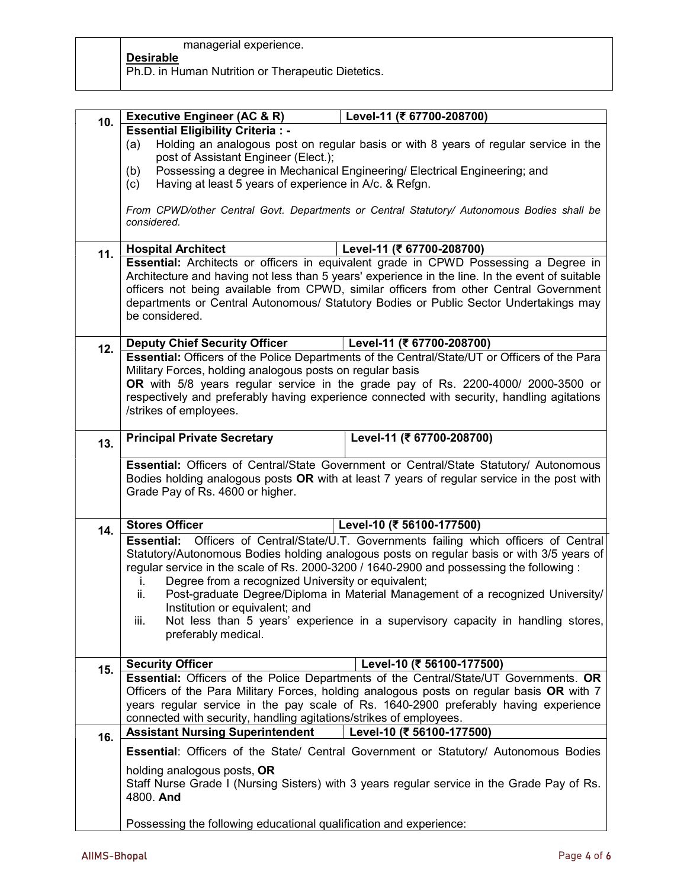| 10. | <b>Executive Engineer (AC &amp; R)</b>                                                                                                                                                                                                                                                    | Level-11 (₹ 67700-208700)                                                                     |  |  |  |  |
|-----|-------------------------------------------------------------------------------------------------------------------------------------------------------------------------------------------------------------------------------------------------------------------------------------------|-----------------------------------------------------------------------------------------------|--|--|--|--|
|     | <b>Essential Eligibility Criteria: -</b>                                                                                                                                                                                                                                                  |                                                                                               |  |  |  |  |
|     | Holding an analogous post on regular basis or with 8 years of regular service in the<br>(a)<br>post of Assistant Engineer (Elect.);<br>Possessing a degree in Mechanical Engineering/ Electrical Engineering; and<br>(b)<br>Having at least 5 years of experience in A/c. & Refgn.<br>(c) |                                                                                               |  |  |  |  |
|     |                                                                                                                                                                                                                                                                                           |                                                                                               |  |  |  |  |
|     |                                                                                                                                                                                                                                                                                           |                                                                                               |  |  |  |  |
|     |                                                                                                                                                                                                                                                                                           |                                                                                               |  |  |  |  |
|     |                                                                                                                                                                                                                                                                                           | From CPWD/other Central Govt. Departments or Central Statutory/ Autonomous Bodies shall be    |  |  |  |  |
|     | considered.                                                                                                                                                                                                                                                                               |                                                                                               |  |  |  |  |
|     | <b>Hospital Architect</b>                                                                                                                                                                                                                                                                 | Level-11 (₹ 67700-208700)                                                                     |  |  |  |  |
| 11. |                                                                                                                                                                                                                                                                                           | Essential: Architects or officers in equivalent grade in CPWD Possessing a Degree in          |  |  |  |  |
|     | Architecture and having not less than 5 years' experience in the line. In the event of suitable<br>officers not being available from CPWD, similar officers from other Central Government                                                                                                 |                                                                                               |  |  |  |  |
|     |                                                                                                                                                                                                                                                                                           |                                                                                               |  |  |  |  |
|     | departments or Central Autonomous/ Statutory Bodies or Public Sector Undertakings may                                                                                                                                                                                                     |                                                                                               |  |  |  |  |
|     | be considered.                                                                                                                                                                                                                                                                            |                                                                                               |  |  |  |  |
|     | <b>Deputy Chief Security Officer</b>                                                                                                                                                                                                                                                      | Level-11 (₹ 67700-208700)                                                                     |  |  |  |  |
| 12. |                                                                                                                                                                                                                                                                                           | Essential: Officers of the Police Departments of the Central/State/UT or Officers of the Para |  |  |  |  |
|     | Military Forces, holding analogous posts on regular basis                                                                                                                                                                                                                                 |                                                                                               |  |  |  |  |
|     |                                                                                                                                                                                                                                                                                           | OR with 5/8 years regular service in the grade pay of Rs. 2200-4000/ 2000-3500 or             |  |  |  |  |
|     | respectively and preferably having experience connected with security, handling agitations                                                                                                                                                                                                |                                                                                               |  |  |  |  |
|     | /strikes of employees.                                                                                                                                                                                                                                                                    |                                                                                               |  |  |  |  |
| 13. | <b>Principal Private Secretary</b>                                                                                                                                                                                                                                                        | Level-11 (₹ 67700-208700)                                                                     |  |  |  |  |
|     |                                                                                                                                                                                                                                                                                           |                                                                                               |  |  |  |  |
|     | Essential: Officers of Central/State Government or Central/State Statutory/ Autonomous                                                                                                                                                                                                    |                                                                                               |  |  |  |  |
|     | Bodies holding analogous posts OR with at least 7 years of regular service in the post with                                                                                                                                                                                               |                                                                                               |  |  |  |  |
|     | Grade Pay of Rs. 4600 or higher.                                                                                                                                                                                                                                                          |                                                                                               |  |  |  |  |
|     | <b>Stores Officer</b>                                                                                                                                                                                                                                                                     | Level-10 (₹ 56100-177500)                                                                     |  |  |  |  |
| 14. | <b>Essential:</b>                                                                                                                                                                                                                                                                         | Officers of Central/State/U.T. Governments failing which officers of Central                  |  |  |  |  |
|     |                                                                                                                                                                                                                                                                                           | Statutory/Autonomous Bodies holding analogous posts on regular basis or with 3/5 years of     |  |  |  |  |
|     |                                                                                                                                                                                                                                                                                           | regular service in the scale of Rs. 2000-3200 / 1640-2900 and possessing the following:       |  |  |  |  |
|     | Degree from a recognized University or equivalent;<br>İ.                                                                                                                                                                                                                                  |                                                                                               |  |  |  |  |
|     | ii.                                                                                                                                                                                                                                                                                       | Post-graduate Degree/Diploma in Material Management of a recognized University/               |  |  |  |  |
|     | Institution or equivalent: and                                                                                                                                                                                                                                                            |                                                                                               |  |  |  |  |
|     | Not less than 5 years' experience in a supervisory capacity in handling stores,<br>iii.<br>preferably medical.                                                                                                                                                                            |                                                                                               |  |  |  |  |
|     |                                                                                                                                                                                                                                                                                           |                                                                                               |  |  |  |  |
| 15. | <b>Security Officer</b>                                                                                                                                                                                                                                                                   | Level-10 (₹ 56100-177500)                                                                     |  |  |  |  |
|     |                                                                                                                                                                                                                                                                                           | Essential: Officers of the Police Departments of the Central/State/UT Governments. OR         |  |  |  |  |
|     | Officers of the Para Military Forces, holding analogous posts on regular basis OR with 7                                                                                                                                                                                                  |                                                                                               |  |  |  |  |
|     |                                                                                                                                                                                                                                                                                           | years regular service in the pay scale of Rs. 1640-2900 preferably having experience          |  |  |  |  |
|     | connected with security, handling agitations/strikes of employees.<br><b>Assistant Nursing Superintendent</b><br>Level-10 (₹ 56100-177500)                                                                                                                                                |                                                                                               |  |  |  |  |
| 16. |                                                                                                                                                                                                                                                                                           | <b>Essential:</b> Officers of the State/ Central Government or Statutory/ Autonomous Bodies   |  |  |  |  |
|     |                                                                                                                                                                                                                                                                                           |                                                                                               |  |  |  |  |
|     | holding analogous posts, OR<br>Staff Nurse Grade I (Nursing Sisters) with 3 years regular service in the Grade Pay of Rs.<br>4800. And                                                                                                                                                    |                                                                                               |  |  |  |  |
|     |                                                                                                                                                                                                                                                                                           |                                                                                               |  |  |  |  |
|     |                                                                                                                                                                                                                                                                                           |                                                                                               |  |  |  |  |
|     | Possessing the following educational qualification and experience:                                                                                                                                                                                                                        |                                                                                               |  |  |  |  |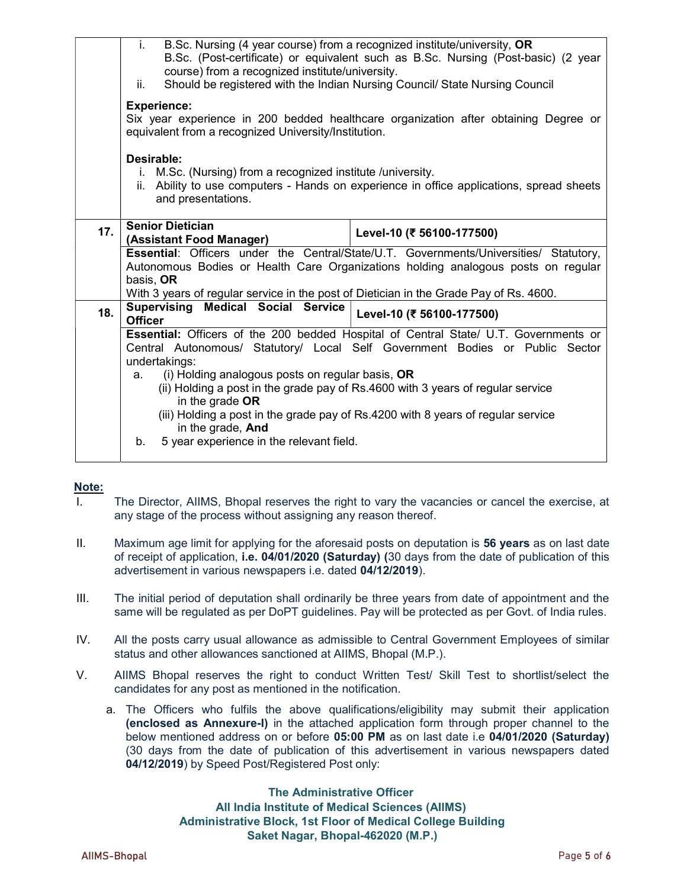|     | B.Sc. Nursing (4 year course) from a recognized institute/university, OR<br>i.<br>B.Sc. (Post-certificate) or equivalent such as B.Sc. Nursing (Post-basic) (2 year<br>course) from a recognized institute/university.<br>Should be registered with the Indian Nursing Council/ State Nursing Council<br>ii.                                                                                                                                                                                                     |  |  |  |  |  |
|-----|------------------------------------------------------------------------------------------------------------------------------------------------------------------------------------------------------------------------------------------------------------------------------------------------------------------------------------------------------------------------------------------------------------------------------------------------------------------------------------------------------------------|--|--|--|--|--|
|     | <b>Experience:</b><br>Six year experience in 200 bedded healthcare organization after obtaining Degree or<br>equivalent from a recognized University/Institution.                                                                                                                                                                                                                                                                                                                                                |  |  |  |  |  |
|     | Desirable:<br>i. M.Sc. (Nursing) from a recognized institute /university.<br>ii. Ability to use computers - Hands on experience in office applications, spread sheets<br>and presentations.                                                                                                                                                                                                                                                                                                                      |  |  |  |  |  |
| 17. | <b>Senior Dietician</b><br>Level-10 (₹ 56100-177500)<br>(Assistant Food Manager)                                                                                                                                                                                                                                                                                                                                                                                                                                 |  |  |  |  |  |
|     | Essential: Officers under the Central/State/U.T. Governments/Universities/ Statutory,<br>Autonomous Bodies or Health Care Organizations holding analogous posts on regular<br>basis, OR<br>With 3 years of regular service in the post of Dietician in the Grade Pay of Rs. 4600.                                                                                                                                                                                                                                |  |  |  |  |  |
| 18. | <b>Supervising Medical Social Service</b><br>Level-10 (₹ 56100-177500)<br><b>Officer</b>                                                                                                                                                                                                                                                                                                                                                                                                                         |  |  |  |  |  |
|     | Essential: Officers of the 200 bedded Hospital of Central State/ U.T. Governments or<br>Central Autonomous/ Statutory/ Local Self Government Bodies or Public Sector<br>undertakings:<br>(i) Holding analogous posts on regular basis, OR<br>a.<br>(ii) Holding a post in the grade pay of Rs.4600 with 3 years of regular service<br>in the grade OR<br>(iii) Holding a post in the grade pay of Rs.4200 with 8 years of regular service<br>in the grade, And<br>5 year experience in the relevant field.<br>b. |  |  |  |  |  |

### Note:

- I. The Director, AIIMS, Bhopal reserves the right to vary the vacancies or cancel the exercise, at any stage of the process without assigning any reason thereof.
- II. Maximum age limit for applying for the aforesaid posts on deputation is **56 years** as on last date of receipt of application, i.e. 04/01/2020 (Saturday) (30 days from the date of publication of this advertisement in various newspapers i.e. dated 04/12/2019).
- III. The initial period of deputation shall ordinarily be three years from date of appointment and the same will be regulated as per DoPT guidelines. Pay will be protected as per Govt. of India rules.
- IV. All the posts carry usual allowance as admissible to Central Government Employees of similar status and other allowances sanctioned at AIIMS, Bhopal (M.P.).
- V. AIIMS Bhopal reserves the right to conduct Written Test/ Skill Test to shortlist/select the candidates for any post as mentioned in the notification.
	- a. The Officers who fulfils the above qualifications/eligibility may submit their application (enclosed as Annexure-I) in the attached application form through proper channel to the below mentioned address on or before 05:00 PM as on last date i.e 04/01/2020 (Saturday) (30 days from the date of publication of this advertisement in various newspapers dated 04/12/2019) by Speed Post/Registered Post only:

### The Administrative Officer

All India Institute of Medical Sciences (AIIMS) Administrative Block, 1st Floor of Medical College Building Saket Nagar, Bhopal-462020 (M.P.)